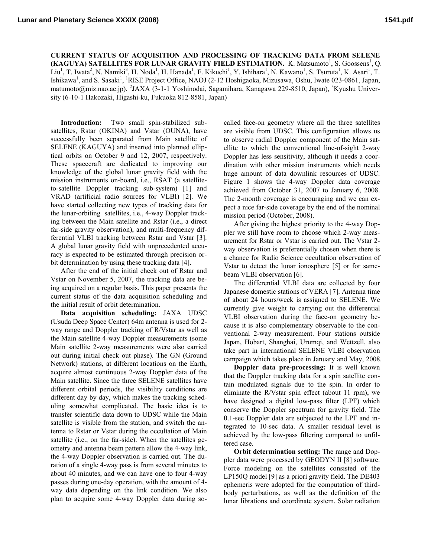**CURRENT STATUS OF ACQUISITION AND PROCESSING OF TRACKING DATA FROM SELENE (KAGUYA) SATELLITES FOR LUNAR GRAVITY FIELD ESTIMATION.** K. Matsumoto<sup>1</sup>, S. Goossens<sup>1</sup>, Q. Liu<sup>1</sup>, T. Iwata<sup>2</sup>, N. Namiki<sup>3</sup>, H. Noda<sup>1</sup>, H. Hanada<sup>1</sup>, F. Kikuchi<sup>1</sup>, Y. Ishihara<sup>1</sup>, N. Kawano<sup>1</sup>, S. Tsuruta<sup>1</sup>, K. Asari<sup>1</sup>, T. Ishikawa<sup>1</sup>, and S. Sasaki<sup>1</sup>, <sup>1</sup>RISE Project Office, NAOJ (2-12 Hoshigaoka, Mizusawa, Oshu, Iwate 023-0861, Japan, matumoto@miz.nao.ac.jp), <sup>2</sup>JAXA (3-1-1 Yoshinodai, Sagamihara, Kanagawa 229-8510, Japan), <sup>3</sup>Kyushu University (6-10-1 Hakozaki, Higashi-ku, Fukuoka 812-8581, Japan)

**Introduction:** Two small spin-stabilized subsatellites, Rstar (OKINA) and Vstar (OUNA), have successfully been separated from Main satellite of SELENE (KAGUYA) and inserted into planned elliptical orbits on October 9 and 12, 2007, respectively. These spacecraft are dedicated to improving our knowledge of the global lunar gravity field with the mission instruments on-board, i.e., RSAT (a satelliteto-satellite Doppler tracking sub-system) [1] and VRAD (artificial radio sources for VLBI) [2]. We have started collecting new types of tracking data for the lunar-orbiting satellites, i.e., 4-way Doppler tracking between the Main satellite and Rstar (i.e., a direct far-side gravity observation), and multi-frequency differential VLBI tracking between Rstar and Vstar [3]. A global lunar gravity field with unprecedented accuracy is expected to be estimated through precision orbit determination by using these tracking data [4].

After the end of the initial check out of Rstar and Vstar on November 5, 2007, the tracking data are being acquired on a regular basis. This paper presents the current status of the data acquisition scheduling and the initial result of orbit determination.

**Data acquisition scheduling:** JAXA UDSC (Usuda Deep Space Center) 64m antenna is used for 2 way range and Doppler tracking of R/Vstar as well as the Main satellite 4-way Doppler measurements (some Main satellite 2-way measurements were also carried out during initial check out phase). The GN (Ground Network) stations, at different locations on the Earth, acquire almost continuous 2-way Doppler data of the Main satellite. Since the three SELENE satellites have different orbital periods, the visibility conditions are different day by day, which makes the tracking scheduling somewhat complicated. The basic idea is to transfer scientific data down to UDSC while the Main satellite is visible from the station, and switch the antenna to Rstar or Vstar during the occultation of Main satellite (i.e., on the far-side). When the satellites geometry and antenna beam pattern allow the 4-way link, the 4-way Doppler observation is carried out. The duration of a single 4-way pass is from several minutes to about 40 minutes, and we can have one to four 4-way passes during one-day operation, with the amount of 4 way data depending on the link condition. We also plan to acquire some 4-way Doppler data during socalled face-on geometry where all the three satellites are visible from UDSC. This configuration allows us to observe radial Doppler component of the Main satellite to which the conventional line-of-sight 2-way Doppler has less sensitivity, although it needs a coordination with other mission instruments which needs huge amount of data downlink resources of UDSC. Figure 1 shows the 4-way Doppler data coverage achieved from October 31, 2007 to January 6, 2008. The 2-month coverage is encouraging and we can expect a nice far-side coverage by the end of the nominal mission period (October, 2008).

After giving the highest priority to the 4-way Doppler we still have room to choose which 2-way measurement for Rstar or Vstar is carried out. The Vstar 2 way observation is preferentially chosen when there is a chance for Radio Science occultation observation of Vstar to detect the lunar ionosphere [5] or for samebeam VLBI observation [6].

The differential VLBI data are collected by four Japanese domestic stations of VERA [7]. Antenna time of about 24 hours/week is assigned to SELENE. We currently give weight to carrying out the differential VLBI observation during the face-on geometry because it is also complementary observable to the conventional 2-way measurement. Four stations outside Japan, Hobart, Shanghai, Urumqi, and Wettzell, also take part in international SELENE VLBI observation campaign which takes place in January and May, 2008.

**Doppler data pre-processing:** It is well known that the Doppler tracking data for a spin satellite contain modulated signals due to the spin. In order to eliminate the R/Vstar spin effect (about 11 rpm), we have designed a digital low-pass filter (LPF) which conserve the Doppler spectrum for gravity field. The 0.1-sec Doppler data are subjected to the LPF and integrated to 10-sec data. A smaller residual level is achieved by the low-pass filtering compared to unfiltered case.

**Orbit determination setting:** The range and Doppler data were processed by GEODYN II [8] software. Force modeling on the satellites consisted of the LP150Q model [9] as a priori gravity field. The DE403 ephemeris were adopted for the computation of thirdbody perturbations, as well as the definition of the lunar librations and coordinate system. Solar radiation